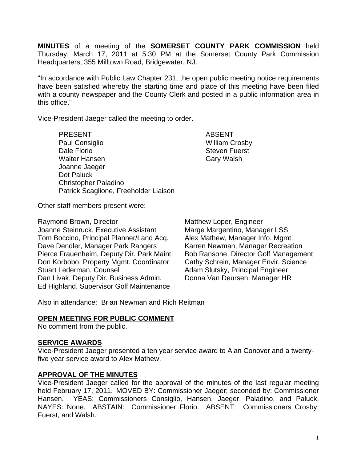**MINUTES** of a meeting of the **SOMERSET COUNTY PARK COMMISSION** held Thursday, March 17, 2011 at 5:30 PM at the Somerset County Park Commission Headquarters, 355 Milltown Road, Bridgewater, NJ.

"In accordance with Public Law Chapter 231, the open public meeting notice requirements have been satisfied whereby the starting time and place of this meeting have been filed with a county newspaper and the County Clerk and posted in a public information area in this office."

Vice-President Jaeger called the meeting to order.

PRESENT ABSENT Paul Consiglio North Considio Nulliam Crosby Dale Florio **Steven Fuerst** Steven Fuerst Walter Hansen Gary Walsh Joanne Jaeger Dot Paluck Christopher Paladino Patrick Scaglione, Freeholder Liaison

Other staff members present were:

Raymond Brown, Director **Matthew Loper, Engineer** Joanne Steinruck, Executive Assistant Marge Margentino, Manager LSS Tom Boccino, Principal Planner/Land Acq. Alex Mathew, Manager Info. Mgmt. Dave Dendler, Manager Park Rangers Karren Newman, Manager Recreation Pierce Frauenheim, Deputy Dir. Park Maint. Bob Ransone, Director Golf Management<br>Don Korbobo, Property Mgmt. Coordinator Cathy Schrein, Manager Envir. Science Don Korbobo, Property Mgmt. Coordinator Stuart Lederman, Counsel **Adam Slutsky**, Principal Engineer Dan Livak, Deputy Dir. Business Admin. Donna Van Deursen, Manager HR Ed Highland, Supervisor Golf Maintenance

Also in attendance: Brian Newman and Rich Reitman

## **OPEN MEETING FOR PUBLIC COMMENT**

No comment from the public.

#### **SERVICE AWARDS**

Vice-President Jaeger presented a ten year service award to Alan Conover and a twentyfive year service award to Alex Mathew.

## **APPROVAL OF THE MINUTES**

Vice-President Jaeger called for the approval of the minutes of the last regular meeting held February 17, 2011. MOVED BY: Commissioner Jaeger; seconded by: Commissioner Hansen. YEAS: Commissioners Consiglio, Hansen, Jaeger, Paladino, and Paluck. NAYES: None. ABSTAIN: Commissioner Florio. ABSENT: Commissioners Crosby, Fuerst, and Walsh.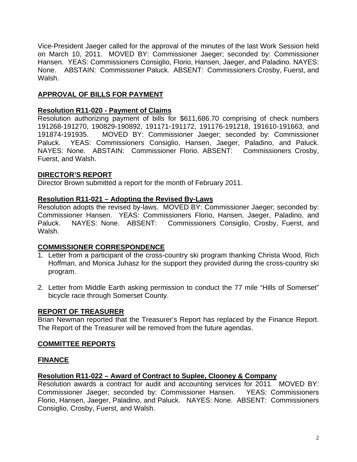Vice-President Jaeger called for the approval of the minutes of the last Work Session held on March 10, 2011. MOVED BY: Commissioner Jaeger; seconded by: Commissioner Hansen. YEAS: Commissioners Consiglio, Florio, Hansen, Jaeger, and Paladino. NAYES: None. ABSTAIN: Commissioner Paluck. ABSENT: Commissioners Crosby, Fuerst, and Walsh.

# **APPROVAL OF BILLS FOR PAYMENT**

# **Resolution R11-020 - Payment of Claims**

Resolution authorizing payment of bills for \$611,686.70 comprising of check numbers 191268-191270, 190829-190892, 191171-191172, 191176-191218, 191610-191663, and 191874-191935. MOVED BY: Commissioner Jaeger; seconded by: Commissioner Paluck. YEAS: Commissioners Consiglio, Hansen, Jaeger, Paladino, and Paluck. NAYES: None. ABSTAIN: Commissioner Florio. ABSENT: Commissioners Crosby, Fuerst, and Walsh.

# **DIRECTOR'S REPORT**

Director Brown submitted a report for the month of February 2011.

# **Resolution R11-021 – Adopting the Revised By-Laws**

Resolution adopts the revised by-laws. MOVED BY: Commissioner Jaeger; seconded by: Commissioner Hansen. YEAS: Commissioners Florio, Hansen, Jaeger, Paladino, and Paluck. NAYES: None. ABSENT: Commissioners Consiglio, Crosby, Fuerst, and Walsh.

# **COMMISSIONER CORRESPONDENCE**

- 1. Letter from a participant of the cross-country ski program thanking Christa Wood, Rich Hoffman, and Monica Juhasz for the support they provided during the cross-country ski program.
- 2. Letter from Middle Earth asking permission to conduct the 77 mile "Hills of Somerset" bicycle race through Somerset County.

## **REPORT OF TREASURER**

Brian Newman reported that the Treasurer's Report has replaced by the Finance Report. The Report of the Treasurer will be removed from the future agendas.

# **COMMITTEE REPORTS**

# **FINANCE**

# **Resolution R11-022 – Award of Contract to Suplee, Clooney & Company**

Resolution awards a contract for audit and accounting services for 2011. MOVED BY: Commissioner Jaeger; seconded by: Commissioner Hansen. YEAS: Commissioners Florio, Hansen, Jaeger, Paladino, and Paluck. NAYES: None. ABSENT: Commissioners Consiglio, Crosby, Fuerst, and Walsh.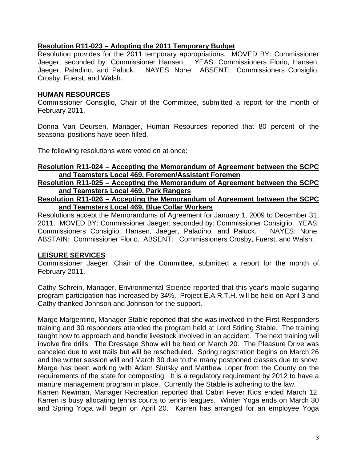# **Resolution R11-023 – Adopting the 2011 Temporary Budget**

Resolution provides for the 2011 temporary appropriations. MOVED BY: Commissioner Jaeger; seconded by: Commissioner Hansen. YEAS: Commissioners Florio, Hansen, Jaeger, Paladino, and Paluck. NAYES: None. ABSENT: Commissioners Consiglio, Crosby, Fuerst, and Walsh.

# **HUMAN RESOURCES**

Commissioner Consiglio, Chair of the Committee, submitted a report for the month of February 2011.

Donna Van Deursen, Manager, Human Resources reported that 80 percent of the seasonal positions have been filled.

The following resolutions were voted on at once:

### **Resolution R11-024 – Accepting the Memorandum of Agreement between the SCPC and Teamsters Local 469, Foremen/Assistant Foremen**

**Resolution R11-025 – Accepting the Memorandum of Agreement between the SCPC and Teamsters Local 469, Park Rangers**

## **Resolution R11-026 – Accepting the Memorandum of Agreement between the SCPC and Teamsters Local 469, Blue Collar Workers**

Resolutions accept the Memorandums of Agreement for January 1, 2009 to December 31, 2011. MOVED BY: Commissioner Jaeger; seconded by: Commissioner Consiglio. YEAS: Commissioners Consiglio, Hansen, Jaeger, Paladino, and Paluck. NAYES: None. ABSTAIN: Commissioner Florio. ABSENT: Commissioners Crosby, Fuerst, and Walsh.

# **LEISURE SERVICES**

Commissioner Jaeger, Chair of the Committee, submitted a report for the month of February 2011.

Cathy Schrein, Manager, Environmental Science reported that this year's maple sugaring program participation has increased by 34%. Project E.A.R.T.H. will be held on April 3 and Cathy thanked Johnson and Johnson for the support.

Marge Margentino, Manager Stable reported that she was involved in the First Responders training and 30 responders attended the program held at Lord Stirling Stable. The training taught how to approach and handle livestock involved in an accident. The next training will involve fire drills. The Dressage Show will be held on March 20. The Pleasure Drive was canceled due to wet trails but will be rescheduled. Spring registration begins on March 26 and the winter session will end March 30 due to the many postponed classes due to snow. Marge has been working with Adam Slutsky and Matthew Loper from the County on the requirements of the state for composting. It is a regulatory requirement by 2012 to have a manure management program in place. Currently the Stable is adhering to the law.

Karren Newman, Manager Recreation reported that Cabin Fever Kids ended March 12. Karren is busy allocating tennis courts to tennis leagues. Winter Yoga ends on March 30 and Spring Yoga will begin on April 20. Karren has arranged for an employee Yoga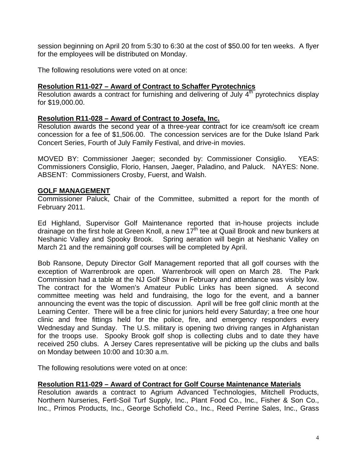session beginning on April 20 from 5:30 to 6:30 at the cost of \$50.00 for ten weeks. A flyer for the employees will be distributed on Monday.

The following resolutions were voted on at once:

## **Resolution R11-027 – Award of Contract to Schaffer Pyrotechnics**

Resolution awards a contract for furnishing and delivering of July 4<sup>th</sup> pyrotechnics display for \$19,000.00.

### **Resolution R11-028 – Award of Contract to Josefa, Inc.**

Resolution awards the second year of a three-year contract for ice cream/soft ice cream concession for a fee of \$1,506.00. The concession services are for the Duke Island Park Concert Series, Fourth of July Family Festival, and drive-in movies.

MOVED BY: Commissioner Jaeger; seconded by: Commissioner Consiglio. YEAS: Commissioners Consiglio, Florio, Hansen, Jaeger, Paladino, and Paluck. NAYES: None. ABSENT: Commissioners Crosby, Fuerst, and Walsh.

#### **GOLF MANAGEMENT**

Commissioner Paluck, Chair of the Committee, submitted a report for the month of February 2011.

Ed Highland, Supervisor Golf Maintenance reported that in-house projects include drainage on the first hole at Green Knoll, a new  $17<sup>th</sup>$  tee at Quail Brook and new bunkers at Neshanic Valley and Spooky Brook. Spring aeration will begin at Neshanic Valley on March 21 and the remaining golf courses will be completed by April.

Bob Ransone, Deputy Director Golf Management reported that all golf courses with the exception of Warrenbrook are open. Warrenbrook will open on March 28. The Park Commission had a table at the NJ Golf Show in February and attendance was visibly low. The contract for the Women's Amateur Public Links has been signed. A second committee meeting was held and fundraising, the logo for the event, and a banner announcing the event was the topic of discussion. April will be free golf clinic month at the Learning Center. There will be a free clinic for juniors held every Saturday; a free one hour clinic and free fittings held for the police, fire, and emergency responders every Wednesday and Sunday. The U.S. military is opening two driving ranges in Afghanistan for the troops use. Spooky Brook golf shop is collecting clubs and to date they have received 250 clubs. A Jersey Cares representative will be picking up the clubs and balls on Monday between 10:00 and 10:30 a.m.

The following resolutions were voted on at once:

## **Resolution R11-029 – Award of Contract for Golf Course Maintenance Materials**

Resolution awards a contract to Agrium Advanced Technologies, Mitchell Products, Northern Nurseries, Fertl-Soil Turf Supply, Inc., Plant Food Co., Inc., Fisher & Son Co., Inc., Primos Products, Inc., George Schofield Co., Inc., Reed Perrine Sales, Inc., Grass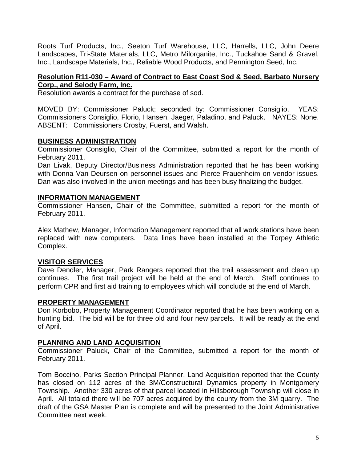Roots Turf Products, Inc., Seeton Turf Warehouse, LLC, Harrells, LLC, John Deere Landscapes, Tri-State Materials, LLC, Metro Milorganite, Inc., Tuckahoe Sand & Gravel, Inc., Landscape Materials, Inc., Reliable Wood Products, and Pennington Seed, Inc.

# **Resolution R11-030 – Award of Contract to East Coast Sod & Seed, Barbato Nursery Corp., and Selody Farm, Inc.**

Resolution awards a contract for the purchase of sod.

MOVED BY: Commissioner Paluck; seconded by: Commissioner Consiglio. YEAS: Commissioners Consiglio, Florio, Hansen, Jaeger, Paladino, and Paluck. NAYES: None. ABSENT: Commissioners Crosby, Fuerst, and Walsh.

## **BUSINESS ADMINISTRATION**

Commissioner Consiglio, Chair of the Committee, submitted a report for the month of February 2011.

Dan Livak, Deputy Director/Business Administration reported that he has been working with Donna Van Deursen on personnel issues and Pierce Frauenheim on vendor issues. Dan was also involved in the union meetings and has been busy finalizing the budget.

## **INFORMATION MANAGEMENT**

Commissioner Hansen, Chair of the Committee, submitted a report for the month of February 2011.

Alex Mathew, Manager, Information Management reported that all work stations have been replaced with new computers. Data lines have been installed at the Torpey Athletic Complex.

# **VISITOR SERVICES**

Dave Dendler, Manager, Park Rangers reported that the trail assessment and clean up continues. The first trail project will be held at the end of March. Staff continues to perform CPR and first aid training to employees which will conclude at the end of March.

## **PROPERTY MANAGEMENT**

Don Korbobo, Property Management Coordinator reported that he has been working on a hunting bid. The bid will be for three old and four new parcels. It will be ready at the end of April.

## **PLANNING AND LAND ACQUISITION**

Commissioner Paluck, Chair of the Committee, submitted a report for the month of February 2011.

Tom Boccino, Parks Section Principal Planner, Land Acquisition reported that the County has closed on 112 acres of the 3M/Constructural Dynamics property in Montgomery Township. Another 330 acres of that parcel located in Hillsborough Township will close in April. All totaled there will be 707 acres acquired by the county from the 3M quarry. The draft of the GSA Master Plan is complete and will be presented to the Joint Administrative Committee next week.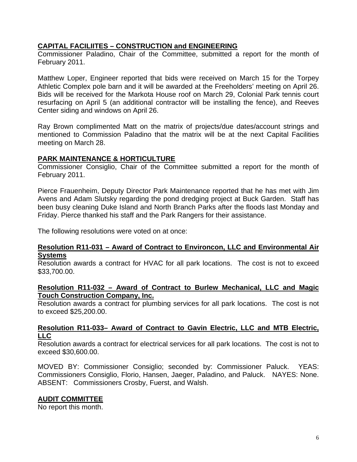# **CAPITAL FACILIITES – CONSTRUCTION and ENGINEERING**

Commissioner Paladino, Chair of the Committee, submitted a report for the month of February 2011.

Matthew Loper, Engineer reported that bids were received on March 15 for the Torpey Athletic Complex pole barn and it will be awarded at the Freeholders' meeting on April 26. Bids will be received for the Markota House roof on March 29, Colonial Park tennis court resurfacing on April 5 (an additional contractor will be installing the fence), and Reeves Center siding and windows on April 26.

Ray Brown complimented Matt on the matrix of projects/due dates/account strings and mentioned to Commission Paladino that the matrix will be at the next Capital Facilities meeting on March 28.

## **PARK MAINTENANCE & HORTICULTURE**

Commissioner Consiglio, Chair of the Committee submitted a report for the month of February 2011.

Pierce Frauenheim, Deputy Director Park Maintenance reported that he has met with Jim Avens and Adam Slutsky regarding the pond dredging project at Buck Garden. Staff has been busy cleaning Duke Island and North Branch Parks after the floods last Monday and Friday. Pierce thanked his staff and the Park Rangers for their assistance.

The following resolutions were voted on at once:

#### **Resolution R11-031 – Award of Contract to Environcon, LLC and Environmental Air Systems**

Resolution awards a contract for HVAC for all park locations. The cost is not to exceed \$33,700.00.

#### **Resolution R11-032 – Award of Contract to Burlew Mechanical, LLC and Magic Touch Construction Company, Inc.**

Resolution awards a contract for plumbing services for all park locations. The cost is not to exceed \$25,200.00.

#### **Resolution R11-033– Award of Contract to Gavin Electric, LLC and MTB Electric, LLC**

Resolution awards a contract for electrical services for all park locations. The cost is not to exceed \$30,600.00.

MOVED BY: Commissioner Consiglio; seconded by: Commissioner Paluck. YEAS: Commissioners Consiglio, Florio, Hansen, Jaeger, Paladino, and Paluck. NAYES: None. ABSENT: Commissioners Crosby, Fuerst, and Walsh.

## **AUDIT COMMITTEE**

No report this month.